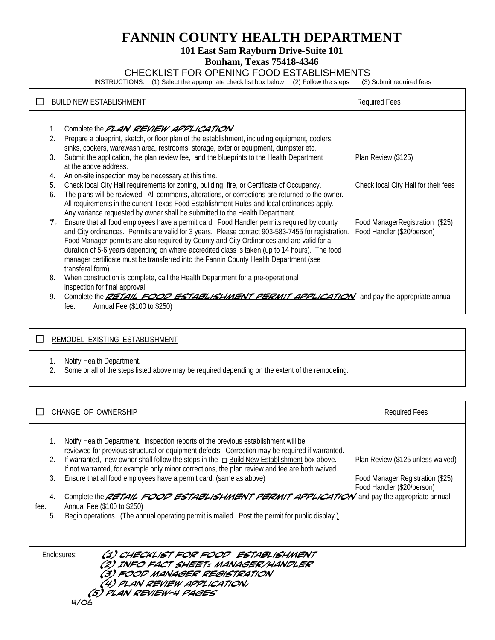# **FANNIN COUNTY HEALTH DEPARTMENT**

# **101 East Sam Rayburn Drive-Suite 101**

# **Bonham, Texas 75418-4346**

# CHECKLIST FOR OPENING FOOD ESTABLISHMENTS<br>TIONS: (1) Select the appropriate check list box below (2) Follow the steps (3) Submit required fees

INSTRUCTIONS: (1) Select the appropriate check list box below (2) Follow the steps

|    | <b>BUILD NEW ESTABLISHMENT</b>                                                                                                                                                                  | <b>Required Fees</b>                                          |
|----|-------------------------------------------------------------------------------------------------------------------------------------------------------------------------------------------------|---------------------------------------------------------------|
|    |                                                                                                                                                                                                 |                                                               |
|    | Complete the <b>PLAN REVIEW APPLICATION</b> .                                                                                                                                                   |                                                               |
|    | Prepare a blueprint, sketch, or floor plan of the establishment, including equipment, coolers,                                                                                                  |                                                               |
|    | sinks, cookers, warewash area, restrooms, storage, exterior equipment, dumpster etc.                                                                                                            |                                                               |
| 3. | Submit the application, the plan review fee, and the blueprints to the Health Department<br>at the above address.                                                                               | Plan Review (\$125)                                           |
| 4. | An on-site inspection may be necessary at this time.                                                                                                                                            |                                                               |
| 5. | Check local City Hall requirements for zoning, building, fire, or Certificate of Occupancy.                                                                                                     | Check local City Hall for their fees                          |
| 6. | The plans will be reviewed. All comments, alterations, or corrections are returned to the owner.                                                                                                |                                                               |
|    | All requirements in the current Texas Food Establishment Rules and local ordinances apply.                                                                                                      |                                                               |
|    | Any variance requested by owner shall be submitted to the Health Department.                                                                                                                    |                                                               |
| 7. | Ensure that all food employees have a permit card. Food Handler permits required by county<br>and City ordinances. Permits are valid for 3 years. Please contact 903-583-7455 for registration. | Food ManagerRegistration (\$25)<br>Food Handler (\$20/person) |
|    | Food Manager permits are also required by County and City Ordinances and are valid for a                                                                                                        |                                                               |
|    | duration of 5-6 years depending on where accredited class is taken (up to 14 hours). The food                                                                                                   |                                                               |
|    | manager certificate must be transferred into the Fannin County Health Department (see                                                                                                           |                                                               |
|    | transferal form).                                                                                                                                                                               |                                                               |
| 8. | When construction is complete, call the Health Department for a pre-operational                                                                                                                 |                                                               |
| 9. | inspection for final approval.<br>Complete the RETAIL FOOD ESTABLISHMENT PERMIT APPLICATION and pay the appropriate annual                                                                      |                                                               |
|    | Annual Fee (\$100 to \$250)<br>fee.                                                                                                                                                             |                                                               |
|    |                                                                                                                                                                                                 |                                                               |

# **EXISTING ESTABLISHMENT**

- 1. Notify Health Department.
- 2. Some or all of the steps listed above may be required depending on the extent of the remodeling.

|      | CHANGE OF OWNERSHIP                                                                                                                                                                                                                                                                                                                                                                                                                                                                                                                                                                                                                                                                                                       | <b>Required Fees</b>                                                                                |
|------|---------------------------------------------------------------------------------------------------------------------------------------------------------------------------------------------------------------------------------------------------------------------------------------------------------------------------------------------------------------------------------------------------------------------------------------------------------------------------------------------------------------------------------------------------------------------------------------------------------------------------------------------------------------------------------------------------------------------------|-----------------------------------------------------------------------------------------------------|
| fee. | Notify Health Department. Inspection reports of the previous establishment will be<br>reviewed for previous structural or equipment defects. Correction may be required if warranted.<br>2. If warranted, new owner shall follow the steps in the $\Box$ Build New Establishment box above.<br>If not warranted, for example only minor corrections, the plan review and fee are both waived.<br>Ensure that all food employees have a permit card. (same as above)<br>3.<br>Complete the <b>RETAIL FOOD ESTABLISHMENT PERMIT APPLICATION</b> and pay the appropriate annual<br>4.<br>Annual Fee (\$100 to \$250)<br>Begin operations. (The annual operating permit is mailed. Post the permit for public display.)<br>5. | Plan Review (\$125 unless waived)<br>Food Manager Registration (\$25)<br>Food Handler (\$20/person) |

Enclosures: **(1) Checklist for Food Establishment (2) Info Fact Sheet: Manager/Handler (3) Food Manager Registration (4) Plan Review Application, (5) Plan Review-4 pages**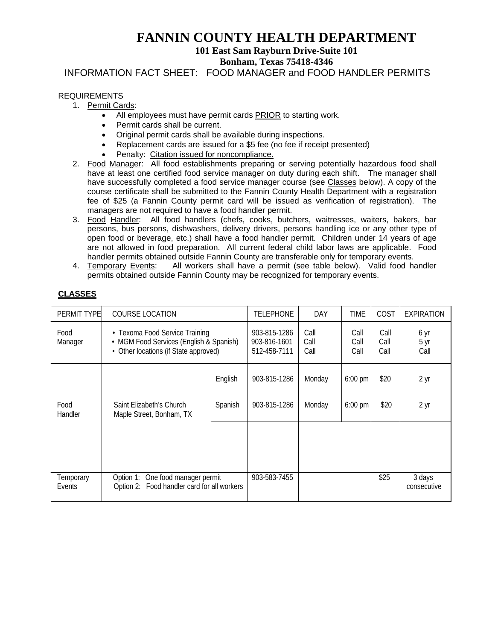# **FANNIN COUNTY HEALTH DEPARTMENT**

# **101 East Sam Rayburn Drive-Suite 101**

**Bonham, Texas 75418-4346** 

INFORMATION FACT SHEET: FOOD MANAGER and FOOD HANDLER PERMITS

# REQUIREMENTS

- 1. Permit Cards:
	- All employees must have permit cards PRIOR to starting work.
	- Permit cards shall be current.
	- Original permit cards shall be available during inspections.
	- Replacement cards are issued for a \$5 fee (no fee if receipt presented)
	- Penalty: Citation issued for noncompliance.
- 2. Food Manager: All food establishments preparing or serving potentially hazardous food shall have at least one certified food service manager on duty during each shift. The manager shall have successfully completed a food service manager course (see Classes below). A copy of the course certificate shall be submitted to the Fannin County Health Department with a registration fee of \$25 (a Fannin County permit card will be issued as verification of registration). The managers are not required to have a food handler permit.
- 3. Food Handler: All food handlers (chefs, cooks, butchers, waitresses, waiters, bakers, bar persons, bus persons, dishwashers, delivery drivers, persons handling ice or any other type of open food or beverage, etc.) shall have a food handler permit. Children under 14 years of age are not allowed in food preparation. All current federal child labor laws are applicable. Food handler permits obtained outside Fannin County are transferable only for temporary events.
- 4. Temporary Events: All workers shall have a permit (see table below). Valid food handler permits obtained outside Fannin County may be recognized for temporary events.

| PERMIT TYPE         | <b>COURSE LOCATION</b>                                                                                             |                    | <b>TELEPHONE</b>                             | <b>DAY</b>           | TIME                   | COST                 | <b>EXPIRATION</b>     |
|---------------------|--------------------------------------------------------------------------------------------------------------------|--------------------|----------------------------------------------|----------------------|------------------------|----------------------|-----------------------|
| Food<br>Manager     | • Texoma Food Service Training<br>• MGM Food Services (English & Spanish)<br>• Other locations (if State approved) |                    | 903-815-1286<br>903-816-1601<br>512-458-7111 | Call<br>Call<br>Call | Call<br>Call<br>Call   | Call<br>Call<br>Call | 6 yr<br>5 yr<br>Call  |
| Food<br>Handler     | Saint Elizabeth's Church<br>Maple Street, Bonham, TX                                                               | English<br>Spanish | 903-815-1286<br>903-815-1286                 | Monday<br>Monday     | $6:00$ pm<br>$6:00$ pm | \$20<br>\$20         | 2 yr<br>2 yr          |
|                     |                                                                                                                    |                    |                                              |                      |                        |                      |                       |
| Temporary<br>Events | Option 1: One food manager permit<br>Option 2: Food handler card for all workers                                   |                    | 903-583-7455                                 |                      |                        | \$25                 | 3 days<br>consecutive |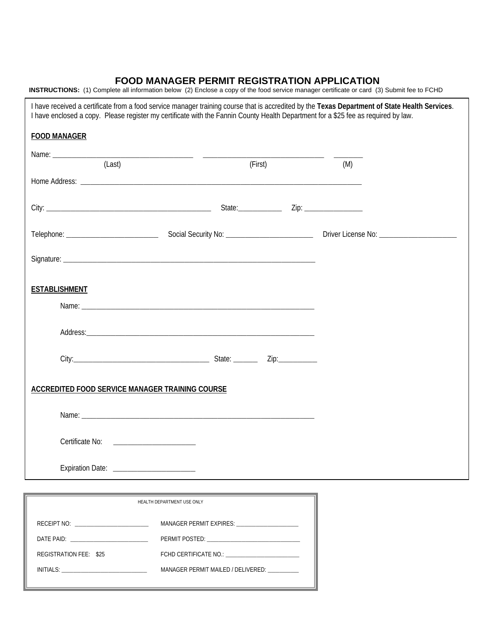# **FOOD MANAGER PERMIT REGISTRATION APPLICATION**

**INSTRUCTIONS:** (1) Complete all information below (2) Enclose a copy of the food service manager certificate or card (3) Submit fee to FCHD

| I have enclosed a copy. Please register my certificate with the Fannin County Health Department for a \$25 fee as required by law. |                                             |         | I have received a certificate from a food service manager training course that is accredited by the Texas Department of State Health Services. |  |
|------------------------------------------------------------------------------------------------------------------------------------|---------------------------------------------|---------|------------------------------------------------------------------------------------------------------------------------------------------------|--|
| <b>FOOD MANAGER</b>                                                                                                                |                                             |         |                                                                                                                                                |  |
| (Last)                                                                                                                             |                                             | (First) |                                                                                                                                                |  |
|                                                                                                                                    |                                             |         | (M)                                                                                                                                            |  |
|                                                                                                                                    |                                             |         |                                                                                                                                                |  |
|                                                                                                                                    |                                             |         |                                                                                                                                                |  |
|                                                                                                                                    |                                             |         |                                                                                                                                                |  |
|                                                                                                                                    |                                             |         |                                                                                                                                                |  |
| <b>ESTABLISHMENT</b>                                                                                                               |                                             |         |                                                                                                                                                |  |
|                                                                                                                                    |                                             |         |                                                                                                                                                |  |
|                                                                                                                                    |                                             |         |                                                                                                                                                |  |
|                                                                                                                                    |                                             |         |                                                                                                                                                |  |
|                                                                                                                                    |                                             |         |                                                                                                                                                |  |
| <b>ACCREDITED FOOD SERVICE MANAGER TRAINING COURSE</b>                                                                             |                                             |         |                                                                                                                                                |  |
|                                                                                                                                    |                                             |         |                                                                                                                                                |  |
| Certificate No: <u>_____________________</u>                                                                                       |                                             |         |                                                                                                                                                |  |
| Expiration Date: ________________________                                                                                          |                                             |         |                                                                                                                                                |  |
|                                                                                                                                    |                                             |         |                                                                                                                                                |  |
|                                                                                                                                    | HEALTH DEPARTMENT USE ONLY                  |         |                                                                                                                                                |  |
|                                                                                                                                    |                                             |         |                                                                                                                                                |  |
|                                                                                                                                    |                                             |         |                                                                                                                                                |  |
| REGISTRATION FEE: \$25                                                                                                             |                                             |         |                                                                                                                                                |  |
|                                                                                                                                    | MANAGER PERMIT MAILED / DELIVERED: ________ |         |                                                                                                                                                |  |
|                                                                                                                                    |                                             |         |                                                                                                                                                |  |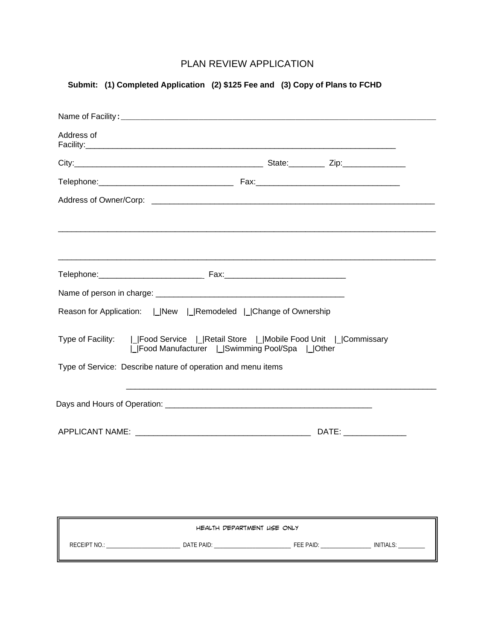# PLAN REVIEW APPLICATION

# **Submit: (1) Completed Application (2) \$125 Fee and (3) Copy of Plans to FCHD**

| Reason for Application:       New       Remodeled       Change of Ownership                                                                                                                        |  |
|----------------------------------------------------------------------------------------------------------------------------------------------------------------------------------------------------|--|
|                                                                                                                                                                                                    |  |
| Type of Facility:   Food Service   Retail Store   Mobile Food Unit   Commissary<br>  Food Manufacturer   Swimming Pool/Spa   Other<br>Type of Service: Describe nature of operation and menu items |  |
|                                                                                                                                                                                                    |  |
|                                                                                                                                                                                                    |  |
|                                                                                                                                                                                                    |  |
|                                                                                                                                                                                                    |  |
| HEALTH DEPARTMENT LISE ONLY                                                                                                                                                                        |  |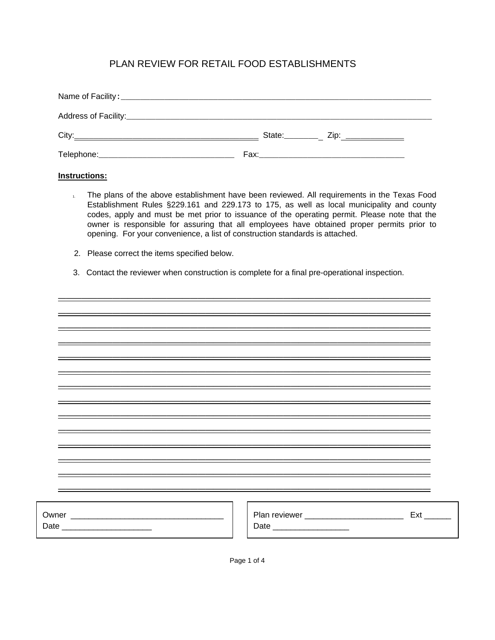# PLAN REVIEW FOR RETAIL FOOD ESTABLISHMENTS

| City:                                        | State:________<br>Zip: __________ |
|----------------------------------------------|-----------------------------------|
| Telephone:__________________________________ |                                   |

# **Instructions:**

- 1. The plans of the above establishment have been reviewed. All requirements in the Texas Food Establishment Rules §229.161 and 229.173 to 175, as well as local municipality and county codes, apply and must be met prior to issuance of the operating permit. Please note that the owner is responsible for assuring that all employees have obtained proper permits prior to opening. For your convenience, a list of construction standards is attached.
- 2. Please correct the items specified below.
- 3. Contact the reviewer when construction is complete for a final pre-operational inspection.

\_\_\_\_\_\_\_\_\_\_\_\_\_\_\_\_\_\_\_\_\_\_\_\_\_\_\_\_\_\_\_\_\_\_\_\_\_\_\_\_\_\_\_\_\_\_\_\_

|                                 |                           | Ext |
|---------------------------------|---------------------------|-----|
| Date __________________________ | Date ____________________ |     |
|                                 |                           |     |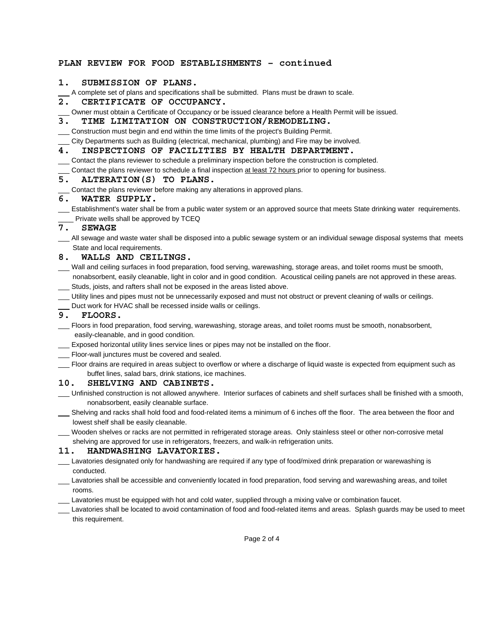### **PLAN REVIEW FOR FOOD ESTABLISHMENTS – continued**

#### **1. SUBMISSION OF PLANS.**

A complete set of plans and specifications shall be submitted. Plans must be drawn to scale.

#### **2. CERTIFICATE OF OCCUPANCY.**

Owner must obtain a Certificate of Occupancy or be issued clearance before a Health Permit will be issued.

# **3. TIME LIMITATION ON CONSTRUCTION/REMODELING.**

Construction must begin and end within the time limits of the project's Building Permit.

City Departments such as Building (electrical, mechanical, plumbing) and Fire may be involved.

#### **4. INSPECTIONS OF FACILITIES BY HEALTH DEPARTMENT.**

Contact the plans reviewer to schedule a preliminary inspection before the construction is completed.

Contact the plans reviewer to schedule a final inspection at least 72 hours prior to opening for business.

#### **5. ALTERATION(S) TO PLANS.**

Contact the plans reviewer before making any alterations in approved plans.

#### **6. WATER SUPPLY.**

Establishment's water shall be from a public water system or an approved source that meets State drinking water requirements. \_\_\_\_ Private wells shall be approved by TCEQ

#### **7. SEWAGE**

\_\_\_ All sewage and waste water shall be disposed into a public sewage system or an individual sewage disposal systems that meets State and local requirements.

### **8. WALLS AND CEILINGS.**

- Wall and ceiling surfaces in food preparation, food serving, warewashing, storage areas, and toilet rooms must be smooth, nonabsorbent, easily cleanable, light in color and in good condition. Acoustical ceiling panels are not approved in these areas.
- Studs, joists, and rafters shall not be exposed in the areas listed above.
- Utility lines and pipes must not be unnecessarily exposed and must not obstruct or prevent cleaning of walls or ceilings.
- Duct work for HVAC shall be recessed inside walls or ceilings.

### **9. FLOORS.**

- Floors in food preparation, food serving, warewashing, storage areas, and toilet rooms must be smooth, nonabsorbent, easily-cleanable, and in good condition.
- Exposed horizontal utility lines service lines or pipes may not be installed on the floor.
- **Floor-wall junctures must be covered and sealed.**
- Floor drains are required in areas subject to overflow or where a discharge of liquid waste is expected from equipment such as buffet lines, salad bars, drink stations, ice machines.

#### **10. SHELVING AND CABINETS.**

- Unfinished construction is not allowed anywhere. Interior surfaces of cabinets and shelf surfaces shall be finished with a smooth, nonabsorbent, easily cleanable surface.
- Shelving and racks shall hold food and food-related items a minimum of 6 inches off the floor. The area between the floor and lowest shelf shall be easily cleanable.
- Wooden shelves or racks are not permitted in refrigerated storage areas. Only stainless steel or other non-corrosive metal shelving are approved for use in refrigerators, freezers, and walk-in refrigeration units.

### **11. HANDWASHING LAVATORIES.**

- Lavatories designated only for handwashing are required if any type of food/mixed drink preparation or warewashing is conducted.
- Lavatories shall be accessible and conveniently located in food preparation, food serving and warewashing areas, and toilet rooms.
- Lavatories must be equipped with hot and cold water, supplied through a mixing valve or combination faucet.
- Lavatories shall be located to avoid contamination of food and food-related items and areas. Splash guards may be used to meet this requirement.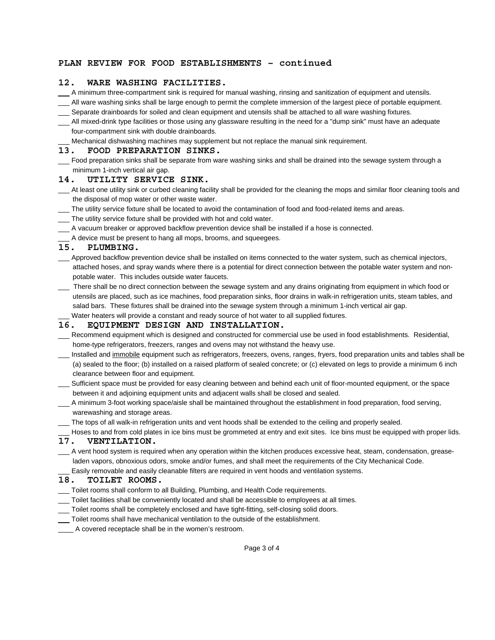### **PLAN REVIEW FOR FOOD ESTABLISHMENTS – continued**

### **12. WARE WASHING FACILITIES.**

- A minimum three-compartment sink is required for manual washing, rinsing and sanitization of equipment and utensils.
- All ware washing sinks shall be large enough to permit the complete immersion of the largest piece of portable equipment.
- Separate drainboards for soiled and clean equipment and utensils shall be attached to all ware washing fixtures.
- All mixed-drink type facilities or those using any glassware resulting in the need for a "dump sink" must have an adequate four-compartment sink with double drainboards.
	- Mechanical dishwashing machines may supplement but not replace the manual sink requirement.

#### **13. FOOD PREPARATION SINKS.**

Food preparation sinks shall be separate from ware washing sinks and shall be drained into the sewage system through a minimum 1-inch vertical air gap.

### **14. UTILITY SERVICE SINK.**

- At least one utility sink or curbed cleaning facility shall be provided for the cleaning the mops and similar floor cleaning tools and the disposal of mop water or other waste water.
- The utility service fixture shall be located to avoid the contamination of food and food-related items and areas.
- The utility service fixture shall be provided with hot and cold water.
- A vacuum breaker or approved backflow prevention device shall be installed if a hose is connected.
- A device must be present to hang all mops, brooms, and squeegees.

## **15. PLUMBING.**

- Approved backflow prevention device shall be installed on items connected to the water system, such as chemical injectors, attached hoses, and spray wands where there is a potential for direct connection between the potable water system and nonpotable water. This includes outside water faucets.
- There shall be no direct connection between the sewage system and any drains originating from equipment in which food or utensils are placed, such as ice machines, food preparation sinks, floor drains in walk-in refrigeration units, steam tables, and salad bars. These fixtures shall be drained into the sewage system through a minimum 1-inch vertical air gap. Water heaters will provide a constant and ready source of hot water to all supplied fixtures.

# **16. EQUIPMENT DESIGN AND INSTALLATION.**

- Recommend equipment which is designed and constructed for commercial use be used in food establishments. Residential, home-type refrigerators, freezers, ranges and ovens may not withstand the heavy use.
- Installed and immobile equipment such as refrigerators, freezers, ovens, ranges, fryers, food preparation units and tables shall be (a) sealed to the floor; (b) installed on a raised platform of sealed concrete; or (c) elevated on legs to provide a minimum 6 inch clearance between floor and equipment.
- Sufficient space must be provided for easy cleaning between and behind each unit of floor-mounted equipment, or the space between it and adjoining equipment units and adjacent walls shall be closed and sealed.
- A minimum 3-foot working space/aisle shall be maintained throughout the establishment in food preparation, food serving, warewashing and storage areas.
- The tops of all walk-in refrigeration units and vent hoods shall be extended to the ceiling and properly sealed.
- Hoses to and from cold plates in ice bins must be grommeted at entry and exit sites. Ice bins must be equipped with proper lids.

### **17. VENTILATION.**

 A vent hood system is required when any operation within the kitchen produces excessive heat, steam, condensation, greaseladen vapors, obnoxious odors, smoke and/or fumes, and shall meet the requirements of the City Mechanical Code. Easily removable and easily cleanable filters are required in vent hoods and ventilation systems.

# **18. TOILET ROOMS.**

- Toilet rooms shall conform to all Building, Plumbing, and Health Code requirements.
- Toilet facilities shall be conveniently located and shall be accessible to employees at all times.
- Toilet rooms shall be completely enclosed and have tight-fitting, self-closing solid doors.
- Toilet rooms shall have mechanical ventilation to the outside of the establishment.
- \_\_\_\_ A covered receptacle shall be in the women's restroom.